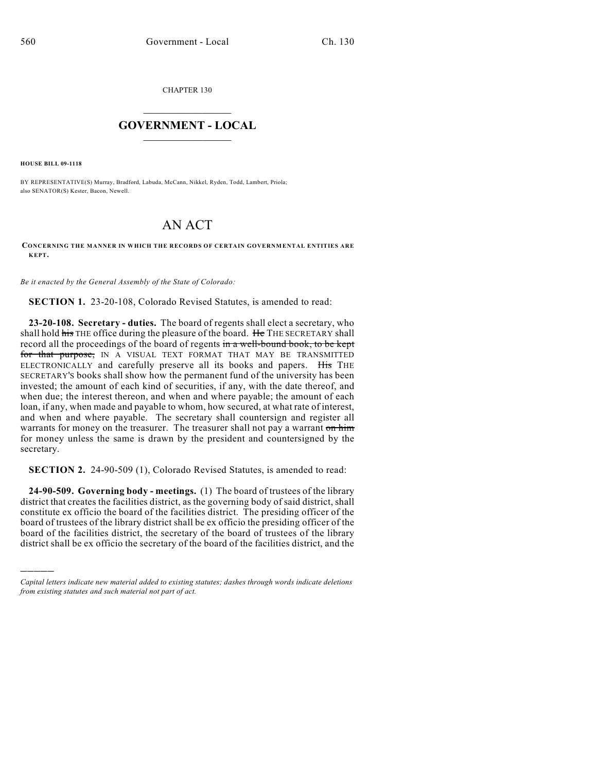CHAPTER 130

## $\mathcal{L}_\text{max}$  . The set of the set of the set of the set of the set of the set of the set of the set of the set of the set of the set of the set of the set of the set of the set of the set of the set of the set of the set **GOVERNMENT - LOCAL**  $\_$

**HOUSE BILL 09-1118**

)))))

BY REPRESENTATIVE(S) Murray, Bradford, Labuda, McCann, Nikkel, Ryden, Todd, Lambert, Priola; also SENATOR(S) Kester, Bacon, Newell.

## AN ACT

**CONCERNING THE MANNER IN WHICH THE RECORDS OF CERTAIN GOVERNMENTAL ENTITIES ARE KEPT.**

*Be it enacted by the General Assembly of the State of Colorado:*

**SECTION 1.** 23-20-108, Colorado Revised Statutes, is amended to read:

**23-20-108. Secretary - duties.** The board of regents shall elect a secretary, who shall hold his THE office during the pleasure of the board. He THE SECRETARY shall record all the proceedings of the board of regents in a well-bound book, to be kept for that purpose, IN A VISUAL TEXT FORMAT THAT MAY BE TRANSMITTED ELECTRONICALLY and carefully preserve all its books and papers. His THE SECRETARY'S books shall show how the permanent fund of the university has been invested; the amount of each kind of securities, if any, with the date thereof, and when due; the interest thereon, and when and where payable; the amount of each loan, if any, when made and payable to whom, how secured, at what rate of interest, and when and where payable. The secretary shall countersign and register all warrants for money on the treasurer. The treasurer shall not pay a warrant on him for money unless the same is drawn by the president and countersigned by the secretary.

**SECTION 2.** 24-90-509 (1), Colorado Revised Statutes, is amended to read:

**24-90-509. Governing body - meetings.** (1) The board of trustees of the library district that creates the facilities district, as the governing body of said district, shall constitute ex officio the board of the facilities district. The presiding officer of the board of trustees of the library district shall be ex officio the presiding officer of the board of the facilities district, the secretary of the board of trustees of the library district shall be ex officio the secretary of the board of the facilities district, and the

*Capital letters indicate new material added to existing statutes; dashes through words indicate deletions from existing statutes and such material not part of act.*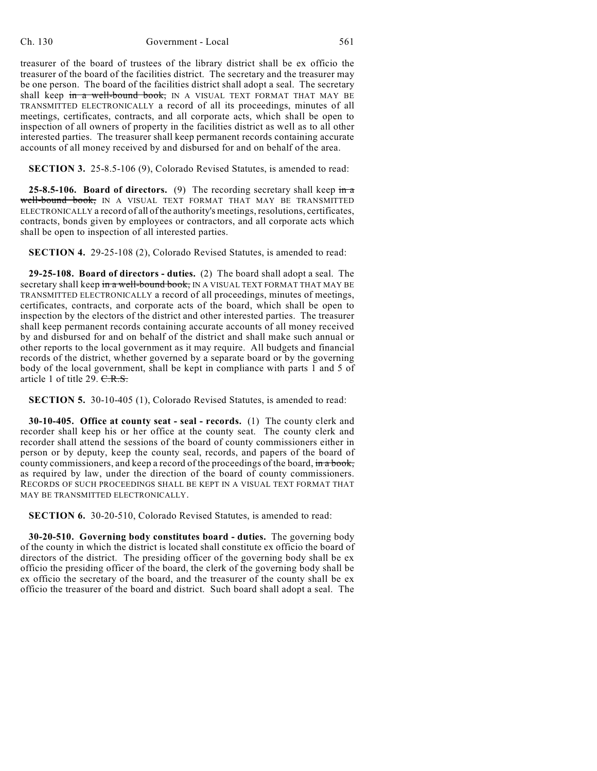**SECTION 3.** 25-8.5-106 (9), Colorado Revised Statutes, is amended to read:

**25-8.5-106. Board of directors.** (9) The recording secretary shall keep  $\frac{1}{n}$ well-bound book, IN A VISUAL TEXT FORMAT THAT MAY BE TRANSMITTED ELECTRONICALLY a record of all of the authority's meetings, resolutions, certificates, contracts, bonds given by employees or contractors, and all corporate acts which shall be open to inspection of all interested parties.

**SECTION 4.** 29-25-108 (2), Colorado Revised Statutes, is amended to read:

**29-25-108. Board of directors - duties.** (2) The board shall adopt a seal. The secretary shall keep in a well-bound book, IN A VISUAL TEXT FORMAT THAT MAY BE TRANSMITTED ELECTRONICALLY a record of all proceedings, minutes of meetings, certificates, contracts, and corporate acts of the board, which shall be open to inspection by the electors of the district and other interested parties. The treasurer shall keep permanent records containing accurate accounts of all money received by and disbursed for and on behalf of the district and shall make such annual or other reports to the local government as it may require. All budgets and financial records of the district, whether governed by a separate board or by the governing body of the local government, shall be kept in compliance with parts 1 and 5 of article 1 of title 29. C.R.S.

**SECTION 5.** 30-10-405 (1), Colorado Revised Statutes, is amended to read:

**30-10-405. Office at county seat - seal - records.** (1) The county clerk and recorder shall keep his or her office at the county seat. The county clerk and recorder shall attend the sessions of the board of county commissioners either in person or by deputy, keep the county seal, records, and papers of the board of county commissioners, and keep a record of the proceedings of the board, in a book, as required by law, under the direction of the board of county commissioners. RECORDS OF SUCH PROCEEDINGS SHALL BE KEPT IN A VISUAL TEXT FORMAT THAT MAY BE TRANSMITTED ELECTRONICALLY.

**SECTION 6.** 30-20-510, Colorado Revised Statutes, is amended to read:

**30-20-510. Governing body constitutes board - duties.** The governing body of the county in which the district is located shall constitute ex officio the board of directors of the district. The presiding officer of the governing body shall be ex officio the presiding officer of the board, the clerk of the governing body shall be ex officio the secretary of the board, and the treasurer of the county shall be ex officio the treasurer of the board and district. Such board shall adopt a seal. The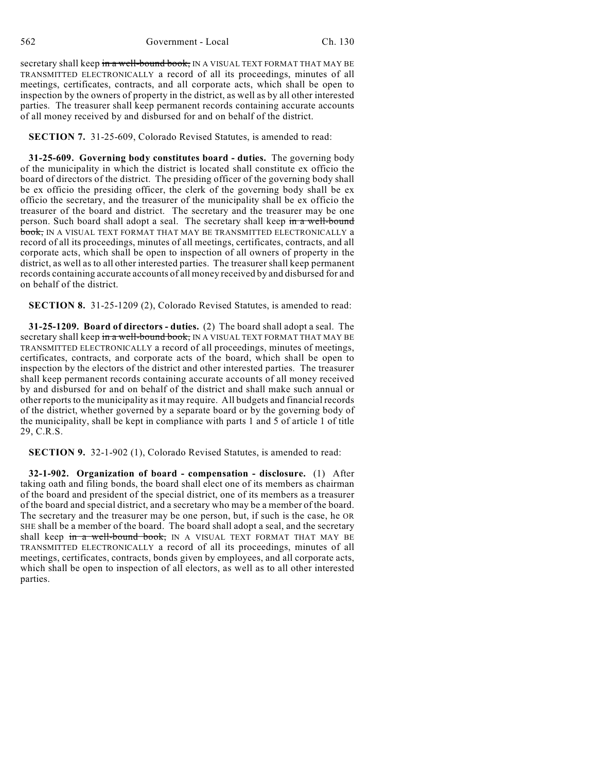562 Government - Local Ch. 130

secretary shall keep in a well-bound book, IN A VISUAL TEXT FORMAT THAT MAY BE TRANSMITTED ELECTRONICALLY a record of all its proceedings, minutes of all meetings, certificates, contracts, and all corporate acts, which shall be open to inspection by the owners of property in the district, as well as by all other interested parties. The treasurer shall keep permanent records containing accurate accounts of all money received by and disbursed for and on behalf of the district.

**SECTION 7.** 31-25-609, Colorado Revised Statutes, is amended to read:

**31-25-609. Governing body constitutes board - duties.** The governing body of the municipality in which the district is located shall constitute ex officio the board of directors of the district. The presiding officer of the governing body shall be ex officio the presiding officer, the clerk of the governing body shall be ex officio the secretary, and the treasurer of the municipality shall be ex officio the treasurer of the board and district. The secretary and the treasurer may be one person. Such board shall adopt a seal. The secretary shall keep in a well-bound book, IN A VISUAL TEXT FORMAT THAT MAY BE TRANSMITTED ELECTRONICALLY a record of all its proceedings, minutes of all meetings, certificates, contracts, and all corporate acts, which shall be open to inspection of all owners of property in the district, as well as to all other interested parties. The treasurer shall keep permanent records containing accurate accounts of all money received by and disbursed for and on behalf of the district.

**SECTION 8.** 31-25-1209 (2), Colorado Revised Statutes, is amended to read:

**31-25-1209. Board of directors - duties.** (2) The board shall adopt a seal. The secretary shall keep in a well-bound book, IN A VISUAL TEXT FORMAT THAT MAY BE TRANSMITTED ELECTRONICALLY a record of all proceedings, minutes of meetings, certificates, contracts, and corporate acts of the board, which shall be open to inspection by the electors of the district and other interested parties. The treasurer shall keep permanent records containing accurate accounts of all money received by and disbursed for and on behalf of the district and shall make such annual or other reports to the municipality as it may require. All budgets and financial records of the district, whether governed by a separate board or by the governing body of the municipality, shall be kept in compliance with parts 1 and 5 of article 1 of title 29, C.R.S.

**SECTION 9.** 32-1-902 (1), Colorado Revised Statutes, is amended to read:

**32-1-902. Organization of board - compensation - disclosure.** (1) After taking oath and filing bonds, the board shall elect one of its members as chairman of the board and president of the special district, one of its members as a treasurer of the board and special district, and a secretary who may be a member of the board. The secretary and the treasurer may be one person, but, if such is the case, he OR SHE shall be a member of the board. The board shall adopt a seal, and the secretary shall keep in a well-bound book, IN A VISUAL TEXT FORMAT THAT MAY BE TRANSMITTED ELECTRONICALLY a record of all its proceedings, minutes of all meetings, certificates, contracts, bonds given by employees, and all corporate acts, which shall be open to inspection of all electors, as well as to all other interested parties.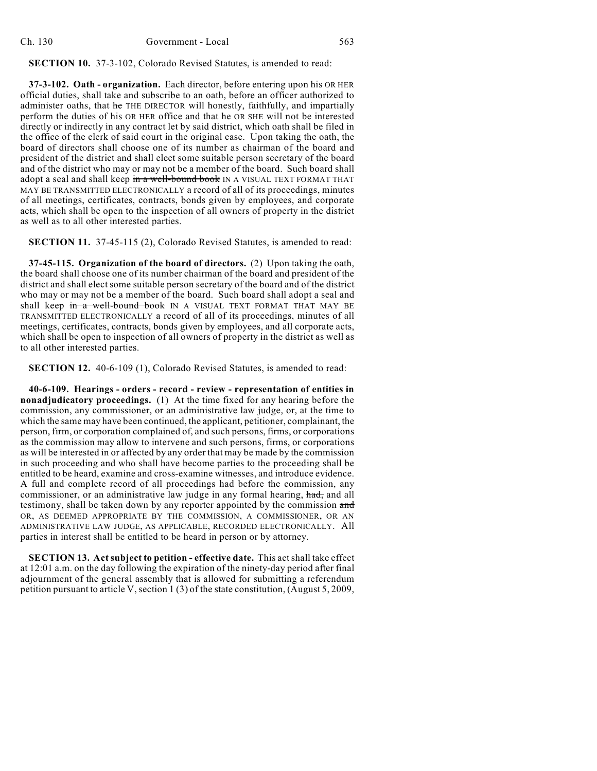**SECTION 10.** 37-3-102, Colorado Revised Statutes, is amended to read:

**37-3-102. Oath - organization.** Each director, before entering upon his OR HER official duties, shall take and subscribe to an oath, before an officer authorized to administer oaths, that he THE DIRECTOR will honestly, faithfully, and impartially perform the duties of his OR HER office and that he OR SHE will not be interested directly or indirectly in any contract let by said district, which oath shall be filed in the office of the clerk of said court in the original case. Upon taking the oath, the board of directors shall choose one of its number as chairman of the board and president of the district and shall elect some suitable person secretary of the board and of the district who may or may not be a member of the board. Such board shall adopt a seal and shall keep in a well-bound book IN A VISUAL TEXT FORMAT THAT MAY BE TRANSMITTED ELECTRONICALLY a record of all of its proceedings, minutes of all meetings, certificates, contracts, bonds given by employees, and corporate acts, which shall be open to the inspection of all owners of property in the district as well as to all other interested parties.

**SECTION 11.** 37-45-115 (2), Colorado Revised Statutes, is amended to read:

**37-45-115. Organization of the board of directors.** (2) Upon taking the oath, the board shall choose one of its number chairman of the board and president of the district and shall elect some suitable person secretary of the board and of the district who may or may not be a member of the board. Such board shall adopt a seal and shall keep in a well-bound book IN A VISUAL TEXT FORMAT THAT MAY BE TRANSMITTED ELECTRONICALLY a record of all of its proceedings, minutes of all meetings, certificates, contracts, bonds given by employees, and all corporate acts, which shall be open to inspection of all owners of property in the district as well as to all other interested parties.

**SECTION 12.** 40-6-109 (1), Colorado Revised Statutes, is amended to read:

**40-6-109. Hearings - orders - record - review - representation of entities in nonadjudicatory proceedings.** (1) At the time fixed for any hearing before the commission, any commissioner, or an administrative law judge, or, at the time to which the same may have been continued, the applicant, petitioner, complainant, the person, firm, or corporation complained of, and such persons, firms, or corporations as the commission may allow to intervene and such persons, firms, or corporations as will be interested in or affected by any order that may be made by the commission in such proceeding and who shall have become parties to the proceeding shall be entitled to be heard, examine and cross-examine witnesses, and introduce evidence. A full and complete record of all proceedings had before the commission, any commissioner, or an administrative law judge in any formal hearing, had, and all testimony, shall be taken down by any reporter appointed by the commission and OR, AS DEEMED APPROPRIATE BY THE COMMISSION, A COMMISSIONER, OR AN ADMINISTRATIVE LAW JUDGE, AS APPLICABLE, RECORDED ELECTRONICALLY. All parties in interest shall be entitled to be heard in person or by attorney.

**SECTION 13. Act subject to petition - effective date.** This act shall take effect at 12:01 a.m. on the day following the expiration of the ninety-day period after final adjournment of the general assembly that is allowed for submitting a referendum petition pursuant to article V, section 1 (3) of the state constitution, (August 5, 2009,